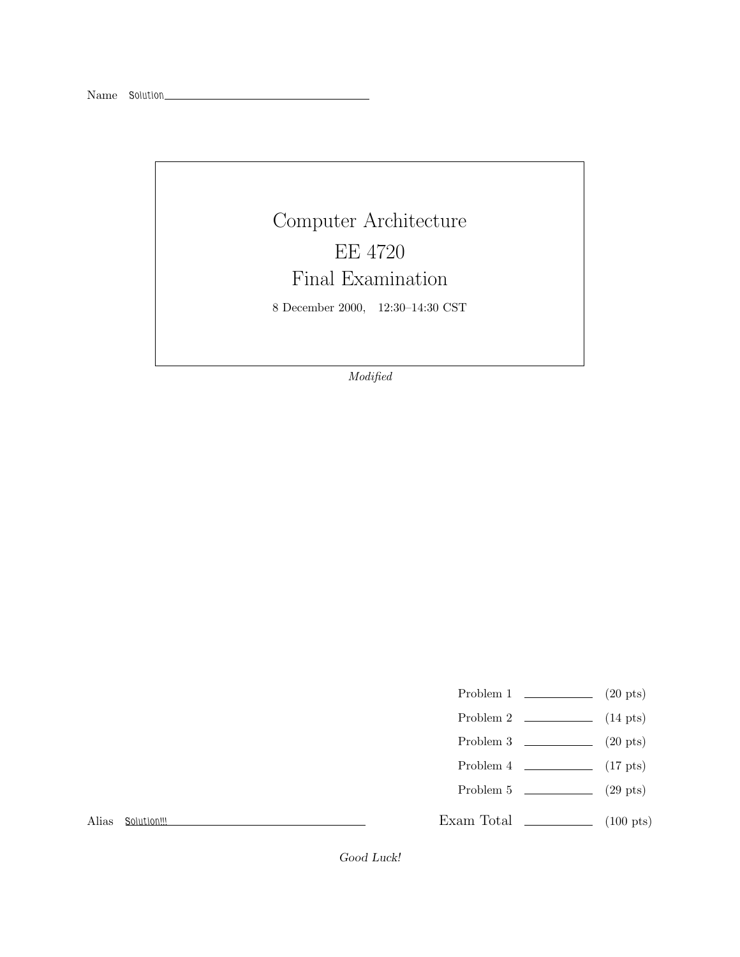## Computer Architecture EE 4720 Final Examination

8 December 2000, 12:30–14:30 CST

*Modified*

- Problem 1  $\qquad \qquad (20 \text{ pts})$
- Problem 2 (14 pts)
- Problem 3 (20 pts)
- Problem 4  $\qquad \qquad$  (17 pts)
- Problem 5 (29 pts)

Exam Total \_\_\_\_\_\_\_\_\_\_\_\_\_ (100 pts)

Alias *Solution!!!*

Good Luck!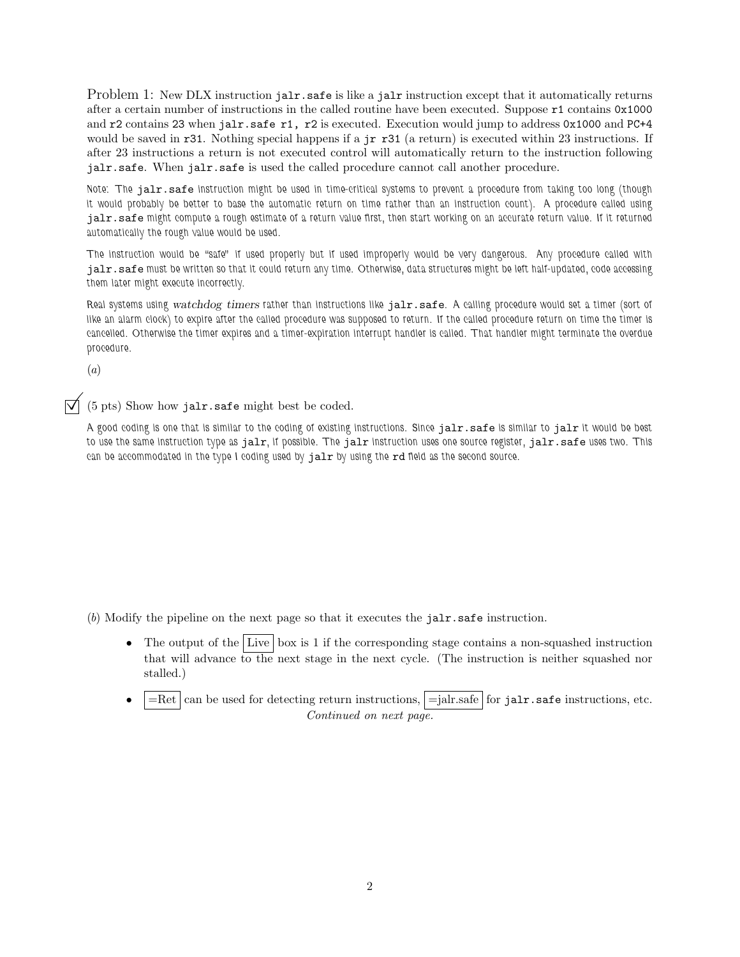Problem 1: New DLX instruction jalr.safe is like a jalr instruction except that it automatically returns after a certain number of instructions in the called routine have been executed. Suppose r1 contains 0x1000 and r2 contains 23 when jalr.safe r1, r2 is executed. Execution would jump to address 0x1000 and PC+4 would be saved in r31. Nothing special happens if a jr r31 (a return) is executed within 23 instructions. If after 23 instructions a return is not executed control will automatically return to the instruction following jalr.safe. When jalr.safe is used the called procedure cannot call another procedure.

*Note: The* jalr.safe *instruction might be used in time-critical systems to prevent a procedure from taking too long (though it would probably be better to base the automatic return on time rather than an instruction count). A procedure called using* jalr.safe *might compute a rough estimate of a return value first, then start working on an accurate return value. If it returned automatically the rough value would be used.*

*The instruction would be "safe" if used properly but if used improperly would be very dangerous. Any procedure called with* jalr.safe *must be written so that it could return any time. Otherwise, data structures might be left half-updated, code accessing them later might execute incorrectly.*

*Real systems using* watchdog timers *rather than instructions like* jalr.safe*. A calling procedure would set a timer (sort of like an alarm clock) to expire after the called procedure was supposed to return. If the called procedure return on time the timer is cancelled. Otherwise the timer expires and a timer-expiration interrupt handler is called. That handler might terminate the overdue procedure.*

(*a*)

©(5 pts) Show how jalr.safe might best be coded.

*A good coding is one that is similar to the coding of existing instructions. Since* jalr.safe *is similar to* jalr *it would be best to use the same instruction type as* jalr*, if possible. The* jalr *instruction uses one source register,* jalr.safe *uses two. This can be accommodated in the type I coding used by* jalr *by using the* rd *field as the second source.*

(*b*) Modify the pipeline on the next page so that it executes the jalr.safe instruction.

- The output of the Live  $\vert$  box is 1 if the corresponding stage contains a non-squashed instruction that will advance to the next stage in the next cycle. (The instruction is neither squashed nor stalled.)
- $=$ Ret can be used for detecting return instructions,  $=$ jalr.safe for jalr.safe instructions, etc. *Continued on next page.*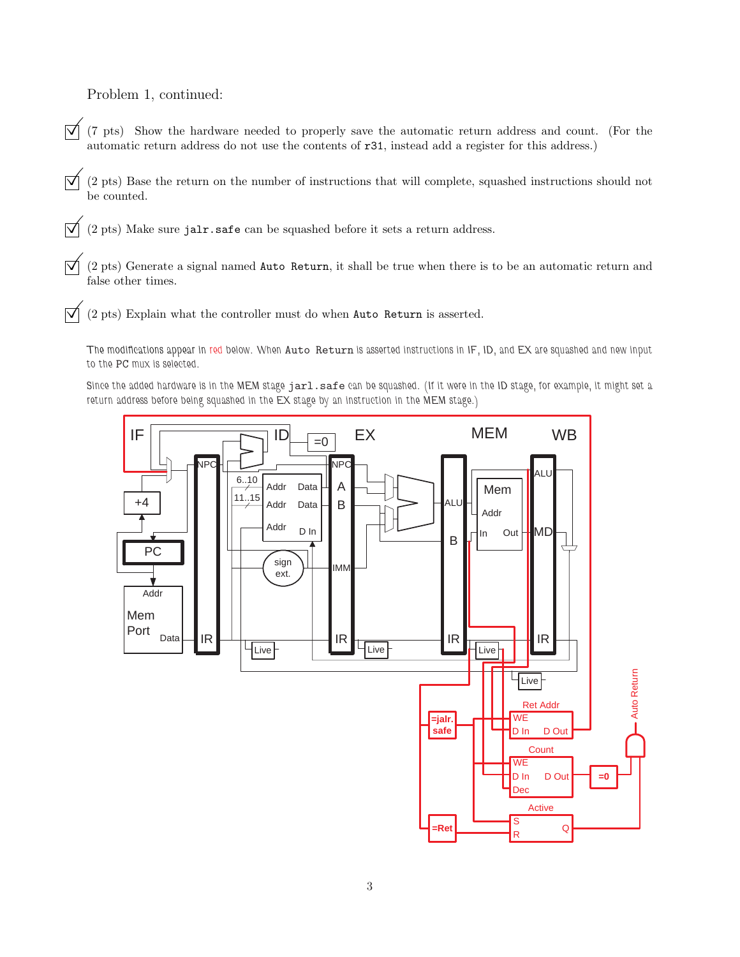Problem 1, continued:

- $\overline{y}$  (7 pts) Show the hardware needed to properly save the automatic return address and count. (For the automatic return address do not use the contents of r31, instead add a register for this address.)
- $\vec{\triangledown}$  (2 pts) Base the return on the number of instructions that will complete, squashed instructions should not be counted.
- $\overrightarrow{\mathsf{q}}$  (2 pts) Make sure jalr. safe can be squashed before it sets a return address.
- $\vec{\nabla}$  (2 pts) Generate a signal named Auto Return, it shall be true when there is to be an automatic return and false other times.
- $\overrightarrow{\mathsf{Q}}$  (2 pts) Explain what the controller must do when Auto Return is asserted.
	- *The modifications appear in red below. When* Auto Return *is asserted instructions in IF, ID, and EX are squashed and new input to the* PC *mux is selected.*
	- *Since the added hardware is in the MEM stage* jarl.safe *can be squashed. (If it were in the ID stage, for example, it might set a return address before being squashed in the EX stage by an instruction in the MEM stage.)*

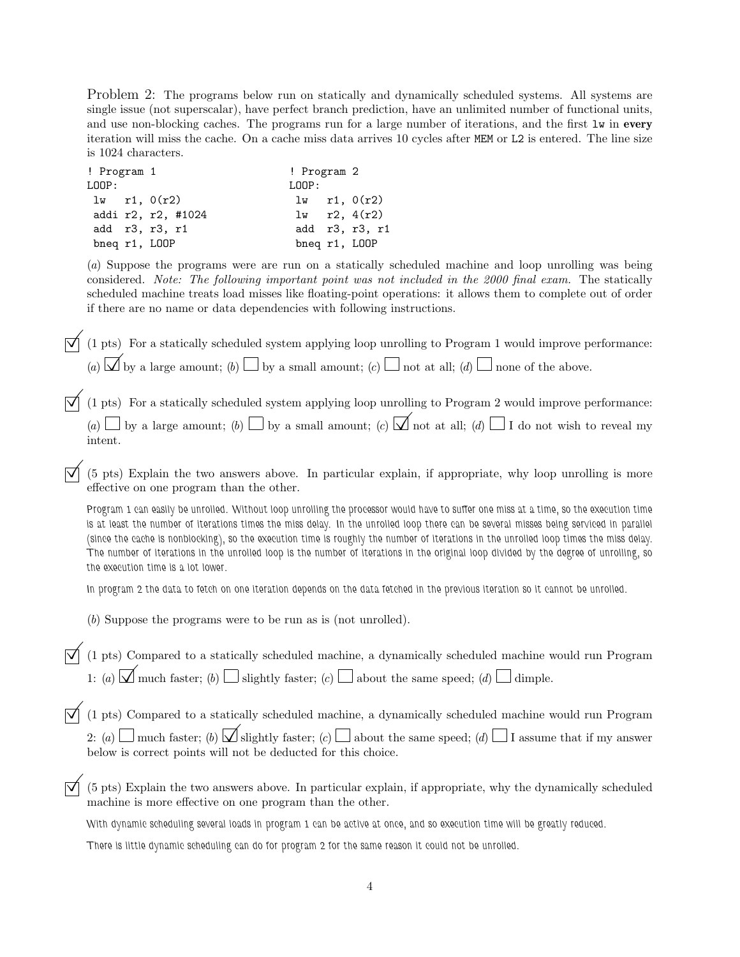Problem 2: The programs below run on statically and dynamically scheduled systems. All systems are single issue (not superscalar), have perfect branch prediction, have an unlimited number of functional units, and use non-blocking caches. The programs run for a large number of iterations, and the first lw in **every** iteration will miss the cache. On a cache miss data arrives 10 cycles after MEM or L2 is entered. The line size is 1024 characters.

| ! Program 1      |  |                    | ! Program 2   |  |                  |
|------------------|--|--------------------|---------------|--|------------------|
| LOOP:            |  |                    | LOOP:         |  |                  |
| $1w$ r1, $0(r2)$ |  |                    |               |  | $1w$ r1, $0(r2)$ |
|                  |  | addi r2, r2, #1024 |               |  | $1w$ r2, $4(r2)$ |
|                  |  | add r3, r3, r1     |               |  | add r3, r3, r1   |
| bneq r1, LOOP    |  |                    | bneq r1, LOOP |  |                  |

(*a*) Suppose the programs were are run on a statically scheduled machine and loop unrolling was being considered. *Note: The following important point was not included in the 2000 final exam.* The statically scheduled machine treats load misses like floating-point operations: it allows them to complete out of order if there are no name or data dependencies with following instructions.

 $\overrightarrow{\mathcal{A}}$  (1 pts) For a statically scheduled system applying loop unrolling to Program 1 would improve performance: (*a*)  $\overline{\bigcup}$  by a large amount; (*b*)  $\overline{\bigcup}$  by a small amount; (*c*)  $\overline{\bigcup}$  not at all; (*d*)  $\overline{\bigcup}$  none of the above.

 $\overrightarrow{\mathcal{A}}$  (1 pts) For a statically scheduled system applying loop unrolling to Program 2 would improve performance: (*a*)  $\Box$  by a large amount; (*b*)  $\Box$  by a small amount; (*c*)  $\Box$  not at all; (*d*)  $\Box$  I do not wish to reveal my intent.

©(5 pts) Explain the two answers above. In particular explain, if appropriate, why loop unrolling is more effective on one program than the other.

*Program 1 can easily be unrolled. Without loop unrolling the processor would have to suffer one miss at a time, so the execution time is at least the number of iterations times the miss delay. In the unrolled loop there can be several misses being serviced in parallel (since the cache is nonblocking), so the execution time is roughly the number of iterations in the unrolled loop times the miss delay. The number of iterations in the unrolled loop is the number of iterations in the original loop divided by the degree of unrolling, so the execution time is a lot lower.*

*In program 2 the data to fetch on one iteration depends on the data fetched in the previous iteration so it cannot be unrolled.*

(*b*) Suppose the programs were to be run as is (not unrolled).

 $\overrightarrow{\mathcal{A}}$  (1 pts) Compared to a statically scheduled machine, a dynamically scheduled machine would run Program 1: (*a*)  $\overline{\mathcal{A}}$  much faster; (*b*)  $\Box$  slightly faster; (*c*)  $\Box$  about the same speed; (*d*)  $\Box$  dimple.

 $\overrightarrow{\mathcal{A}}$  (1 pts) Compared to a statically scheduled machine, a dynamically scheduled machine would run Program 2: (*a*)  $\Box$  much faster; (*b*)  $\Box$  slightly faster; (*c*)  $\Box$  about the same speed; (*d*)  $\Box$  I assume that if my answer below is correct points will not be deducted for this choice.

©(5 pts) Explain the two answers above. In particular explain, if appropriate, why the dynamically scheduled machine is more effective on one program than the other.

*With dynamic scheduling several loads in program 1 can be active at once, and so execution time will be greatly reduced.*

*There is little dynamic scheduling can do for program 2 for the same reason it could not be unrolled.*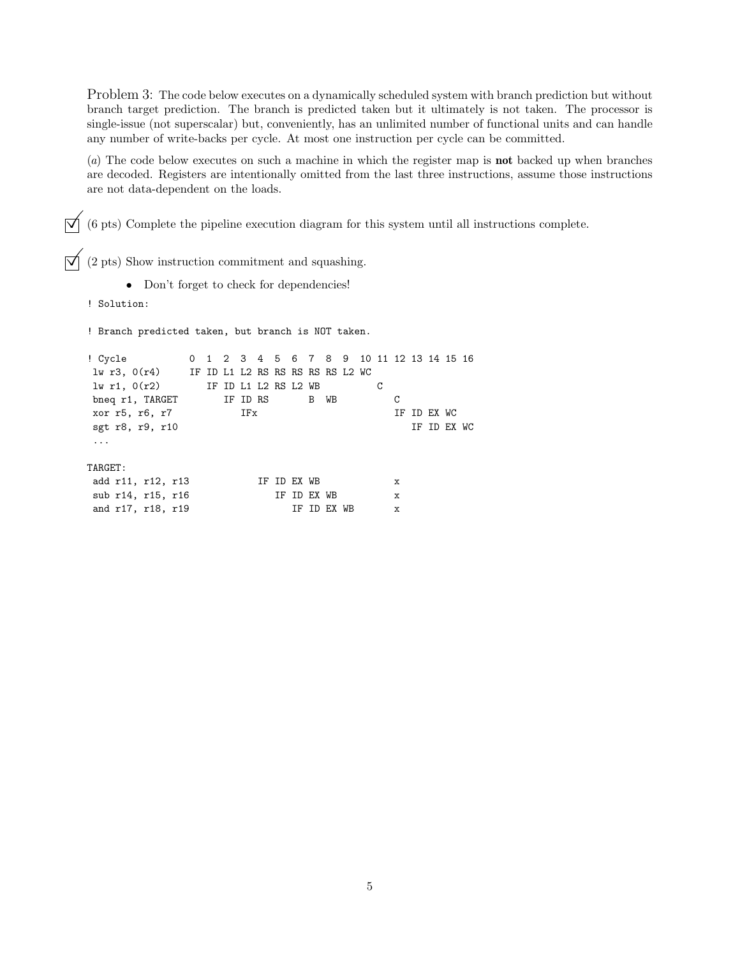Problem 3: The code below executes on a dynamically scheduled system with branch prediction but without branch target prediction. The branch is predicted taken but it ultimately is not taken. The processor is single-issue (not superscalar) but, conveniently, has an unlimited number of functional units and can handle any number of write-backs per cycle. At most one instruction per cycle can be committed.

(*a*) The code below executes on such a machine in which the register map is **not** backed up when branches are decoded. Registers are intentionally omitted from the last three instructions, assume those instructions are not data-dependent on the loads.

 $\overrightarrow{\mathcal{A}}$  (6 pts) Complete the pipeline execution diagram for this system until all instructions complete.

 $\overrightarrow{\mathsf{Q}}$  (2 pts) Show instruction commitment and squashing.

• Don't forget to check for dependencies!

! Solution:

! Branch predicted taken, but branch is NOT taken.

! Cycle 0 1 2 3 4 5 6 7 8 9 10 11 12 13 14 15 16 lw r3, 0(r4) IF ID L1 L2 RS RS RS RS RS L2 WC lw r1, 0(r2) IF ID L1 L2 RS L2 WB C bneq r1, TARGET IF ID RS B WB C xor r5, r6, r7 IFx IF ID EX WC sgt r8, r9, r10 IF ID EX WC ... TARGET: add r11, r12, r13 IF ID EX WB x sub r14, r15, r16 IF ID EX WB x and r17, r18, r19 IF ID EX WB x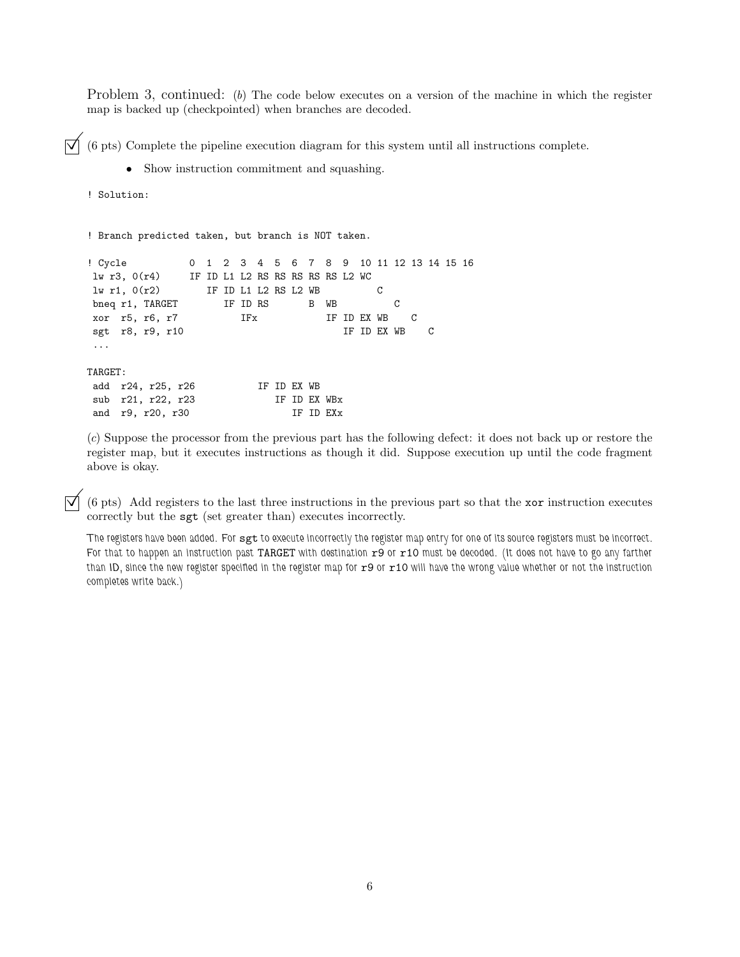Problem 3, continued: (b) The code below executes on a version of the machine in which the register map is backed up (checkpointed) when branches are decoded.

 $\boxed{\bigvee}$  (6 pts) Complete the pipeline execution diagram for this system until all instructions complete.<br>• Show instruction commitment and squashing.

• Show instruction commitment and squashing.

```
! Solution:
```
! Branch predicted taken, but branch is NOT taken.

| ! Cycle                                            |  |  |  |             |              |               |   |               | 0 1 2 3 4 5 6 7 8 9 10 11 12 13 14 15 16 |  |  |
|----------------------------------------------------|--|--|--|-------------|--------------|---------------|---|---------------|------------------------------------------|--|--|
| $1w r3$ , $0(r4)$ IF ID L1 L2 RS RS RS RS RS L2 WC |  |  |  |             |              |               |   |               |                                          |  |  |
| $1w$ r1, $0(r2)$ IF ID L1 L2 RS L2 WB              |  |  |  |             |              |               | C |               |                                          |  |  |
| bneq r1, TARGET IF ID RS B WB                      |  |  |  |             |              |               |   | C             |                                          |  |  |
| xor r5, r6, r7 IFx                                 |  |  |  |             |              | IF ID EX WB C |   |               |                                          |  |  |
| sgt r8, r9, r10                                    |  |  |  |             |              |               |   | IF ID EX WB C |                                          |  |  |
|                                                    |  |  |  |             |              |               |   |               |                                          |  |  |
|                                                    |  |  |  |             |              |               |   |               |                                          |  |  |
| TARGET:                                            |  |  |  |             |              |               |   |               |                                          |  |  |
| add r24, r25, r26                                  |  |  |  | IF ID EX WB |              |               |   |               |                                          |  |  |
| sub r21, r22, r23                                  |  |  |  |             | IF ID EX WBx |               |   |               |                                          |  |  |
| and r9, r20, r30                                   |  |  |  |             | IF ID EXx    |               |   |               |                                          |  |  |
|                                                    |  |  |  |             |              |               |   |               |                                          |  |  |

(*c*) Suppose the processor from the previous part has the following defect: it does not back up or restore the register map, but it executes instructions as though it did. Suppose execution up until the code fragment above is okay.

©(6 pts) Add registers to the last three instructions in the previous part so that the xor instruction executes correctly but the sgt (set greater than) executes incorrectly.

*The registers have been added. For* sgt *to execute incorrectly the register map entry for one of its source registers must be incorrect. For that to happen an instruction past TARGET with destination*  $r9$  or  $r10$  must be decoded. (It does not have to go any farther *than ID, since the new register specified in the register map for* r9 *or* r10 *will have the wrong value whether or not the instruction completes write back.)*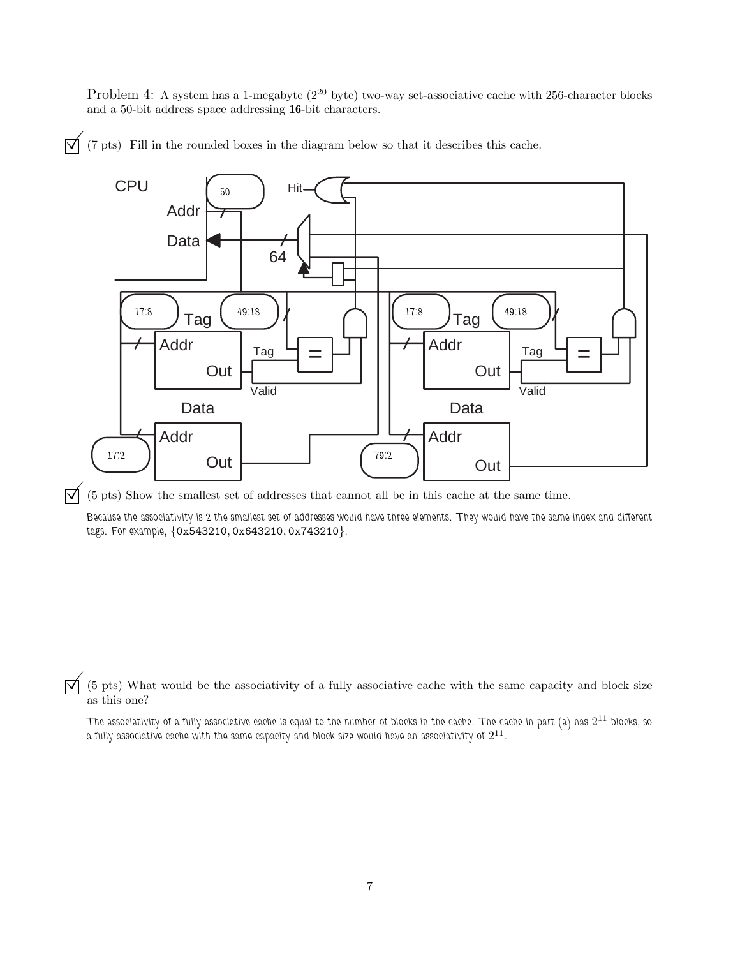Problem 4: A system has a 1-megabyte ( $2^{20}$  byte) two-way set-associative cache with 256-character blocks and a 50-bit address space addressing **16**-bit characters.

CPU Addr Data Data Addr Out Tag Addr Tag Valid Data Addr Tag Addr Tag Valid Hit Out Out Out 64 *50* 17:8 **| <sub>Tog</sub> | 49:18 | / | | 17:8 | <sub>Tog</sub> | 49:18** 17:2 *Out Out* **17:2** *(79:2* 

 $\overrightarrow{\mathcal{A}}$  (7 pts) Fill in the rounded boxes in the diagram below so that it describes this cache.

 $\overrightarrow{\mathcal{A}}$  (5 pts) Show the smallest set of addresses that cannot all be in this cache at the same time.

*Because the associativity is 2 the smallest set of addresses would have three elements. They would have the same index and different tags. For example,* {0x543210, 0x643210, 0x743210}*.*

 $\overrightarrow{\mathcal{A}}$  (5 pts) What would be the associativity of a fully associative cache with the same capacity and block size as this one?

*The associativity of a fully associative cache is equal to the number of blocks in the cache. The cache in part (a) has* 2<sup>11</sup> *blocks, so a fully associative cache with the same capacity and block size would have an associativity of* 2<sup>11</sup>*.*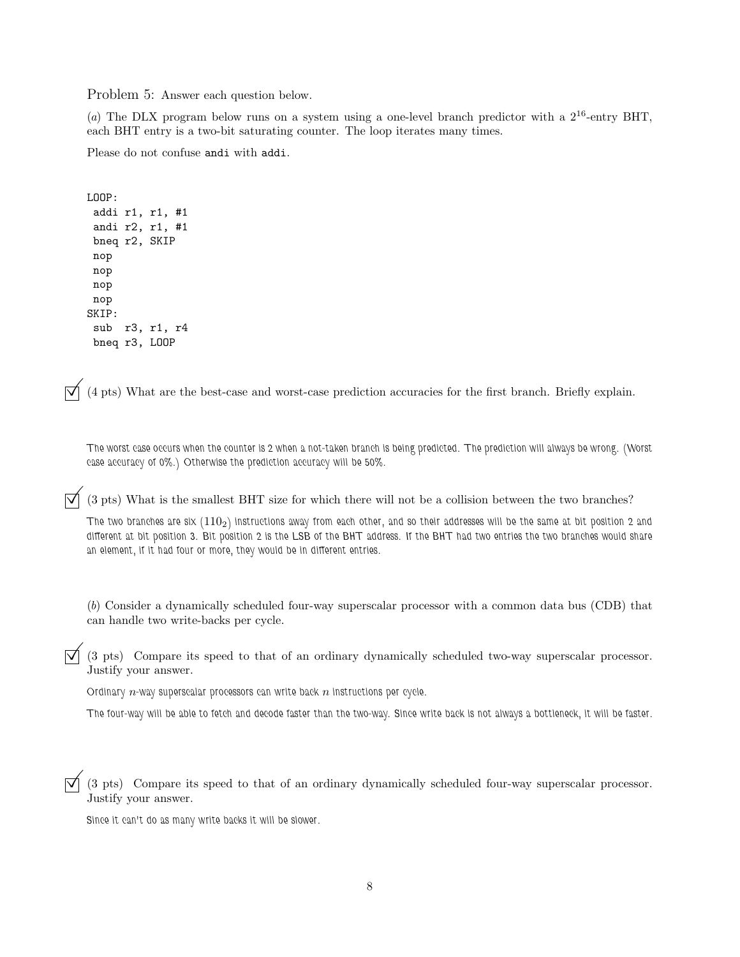Problem 5: Answer each question below.

(*a*) The DLX program below runs on a system using a one-level branch predictor with a  $2^{16}$ -entry BHT, each BHT entry is a two-bit saturating counter. The loop iterates many times.

Please do not confuse andi with addi.

```
LOOP:
addi r1, r1, #1
andi r2, r1, #1
bneq r2, SKIP
nop
nop
nop
nop
SKIP:
sub r3, r1, r4
bneq r3, LOOP
```
 $\overrightarrow{v}$  (4 pts) What are the best-case and worst-case prediction accuracies for the first branch. Briefly explain.

*The worst case occurs when the counter is 2 when a not-taken branch is being predicted. The prediction will always be wrong. (Worst case accuracy of 0%.) Otherwise the prediction accuracy will be 50%.*

 $\vec{\triangledown}$  (3 pts) What is the smallest BHT size for which there will not be a collision between the two branches?

*The two branches are six (*1102*) instructions away from each other, and so their addresses will be the same at bit position 2 and different at bit position 3. Bit position 2 is the LSB of the BHT address. If the BHT had two entries the two branches would share an element, if it had four or more, they would be in different entries.*

(*b*) Consider a dynamically scheduled four-way superscalar processor with a common data bus (CDB) that can handle two write-backs per cycle.

 $\vec{\triangledown}$  (3 pts) Compare its speed to that of an ordinary dynamically scheduled two-way superscalar processor. Justify your answer.

*Ordinary* n*-way superscalar processors can write back* n *instructions per cycle.*

*The four-way will be able to fetch and decode faster than the two-way. Since write back is not always a bottleneck, it will be faster.*

 $\vec{\triangledown}$  (3 pts) Compare its speed to that of an ordinary dynamically scheduled four-way superscalar processor. Justify your answer.

*Since it can't do as many write backs it will be slower.*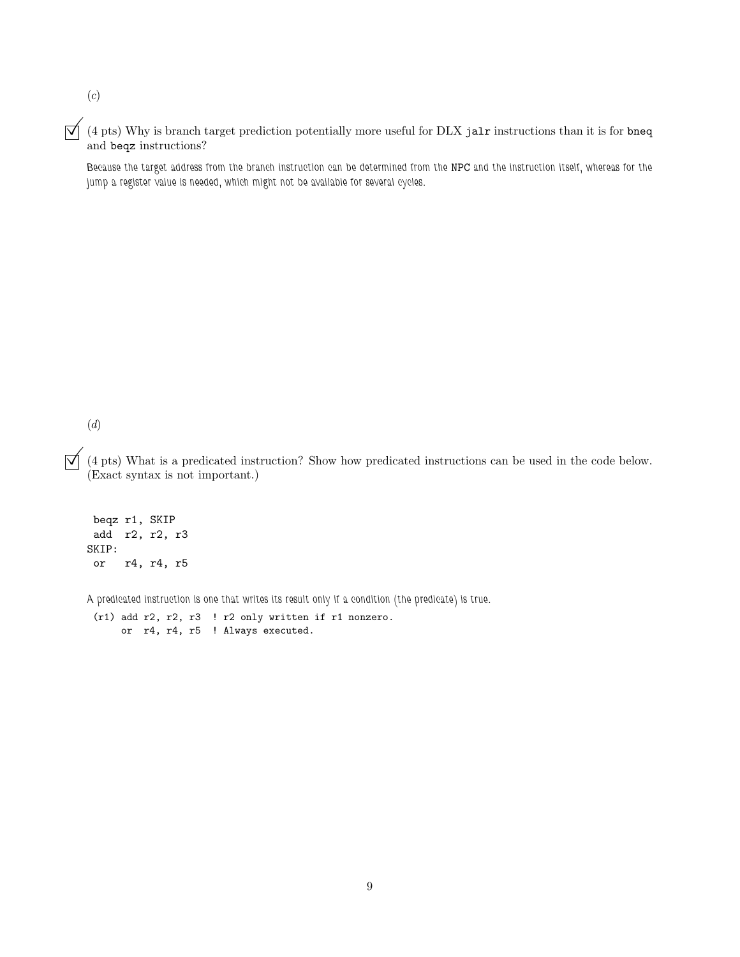(*c*)

 $\overrightarrow{\mathsf{Q}}$  (4 pts) Why is branch target prediction potentially more useful for DLX jalr instructions than it is for bneq and beqz instructions?

*Because the target address from the branch instruction can be determined from the* NPC *and the instruction itself, whereas for the jump a register value is needed, which might not be available for several cycles.*

(*d*)

 $\overrightarrow{\mathcal{A}}$  (4 pts) What is a predicated instruction? Show how predicated instructions can be used in the code below. (Exact syntax is not important.)

beqz r1, SKIP add r2, r2, r3 SKIP: or r4, r4, r5

*A predicated instruction is one that writes its result only if a condition (the predicate) is true.*

(r1) add r2, r2, r3 ! r2 only written if r1 nonzero. or r4, r4, r5 ! Always executed.